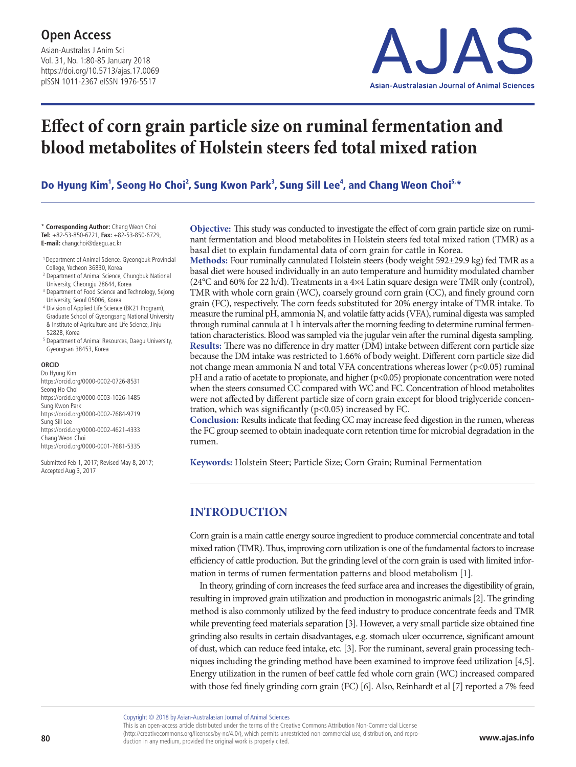Asian-Australas J Anim Sci Vol. 31, No. 1:80-85 January 2018 https://doi.org/10.5713/ajas.17.0069 pISSN 1011-2367 eISSN 1976-5517



# **Effect of corn grain particle size on ruminal fermentation and blood metabolites of Holstein steers fed total mixed ration**

Do Hyung Kim<sup>1</sup>, Seong Ho Choi<sup>2</sup>, Sung Kwon Park<sup>3</sup>, Sung Sill Lee<sup>4</sup>, and Chang Weon Choi<sup>5,</sup>\*

\* **Corresponding Author:** Chang Weon Choi **Tel:** +82-53-850-6721, **Fax:** +82-53-850-6729, **E-mail:** changchoi@daegu.ac.kr

- 1 Department of Animal Science, Gyeongbuk Provincial College, Yecheon 36830, Korea
- <sup>2</sup> Department of Animal Science, Chungbuk National University, Cheongju 28644, Korea
- <sup>3</sup> Department of Food Science and Technology, Sejong University, Seoul 05006, Korea
- <sup>4</sup> Division of Applied Life Science (BK21 Program), Graduate School of Gyeongsang National University & Institute of Agriculture and Life Science, Jinju 52828, Korea
- <sup>5</sup> Department of Animal Resources, Daegu University, Gyeongsan 38453, Korea

#### **ORCID**

Do Hyung Kim https://orcid.org/0000-0002-0726-8531 Seong Ho Choi https://orcid.org/0000-0003-1026-1485 Sung Kwon Park https://orcid.org/0000-0002-7684-9719 Sung Sill Lee https://orcid.org/0000-0002-4621-4333 Chang Weon Choi https://orcid.org/0000-0001-7681-5335

Submitted Feb 1, 2017; Revised May 8, 2017; Accepted Aug 3, 2017

**Objective:** This study was conducted to investigate the effect of corn grain particle size on ruminant fermentation and blood metabolites in Holstein steers fed total mixed ration (TMR) as a basal diet to explain fundamental data of corn grain for cattle in Korea.

**Methods:** Four ruminally cannulated Holstein steers (body weight 592±29.9 kg) fed TMR as a basal diet were housed individually in an auto temperature and humidity modulated chamber (24°C and 60% for 22 h/d). Treatments in a 4×4 Latin square design were TMR only (control), TMR with whole corn grain (WC), coarsely ground corn grain (CC), and finely ground corn grain (FC), respectively. The corn feeds substituted for 20% energy intake of TMR intake. To measure the ruminal pH, ammonia N, and volatile fatty acids (VFA), ruminal digesta was sampled through ruminal cannula at 1 h intervals after the morning feeding to determine ruminal fermentation characteristics. Blood was sampled via the jugular vein after the ruminal digesta sampling. **Results:** There was no difference in dry matter (DM) intake between different corn particle size because the DM intake was restricted to 1.66% of body weight. Different corn particle size did not change mean ammonia N and total VFA concentrations whereas lower ( $p<0.05$ ) ruminal pH and a ratio of acetate to propionate, and higher (p<0.05) propionate concentration were noted when the steers consumed CC compared with WC and FC. Concentration of blood metabolites were not affected by different particle size of corn grain except for blood triglyceride concentration, which was significantly (p<0.05) increased by FC.

**Conclusion:** Results indicate that feeding CC may increase feed digestion in the rumen, whereas the FC group seemed to obtain inadequate corn retention time for microbial degradation in the rumen.

**Keywords:** Holstein Steer; Particle Size; Corn Grain; Ruminal Fermentation

## **INTRODUCTION**

Corn grain is a main cattle energy source ingredient to produce commercial concentrate and total mixed ration (TMR). Thus, improving corn utilization is one of the fundamental factors to increase efficiency of cattle production. But the grinding level of the corn grain is used with limited information in terms of rumen fermentation patterns and blood metabolism [1].

In theory, grinding of corn increases the feed surface area and increases the digestibility of grain, resulting in improved grain utilization and production in monogastric animals [2]. The grinding method is also commonly utilized by the feed industry to produce concentrate feeds and TMR while preventing feed materials separation [3]. However, a very small particle size obtained fine grinding also results in certain disadvantages, e.g. stomach ulcer occurrence, significant amount of dust, which can reduce feed intake, etc. [3]. For the ruminant, several grain processing techniques including the grinding method have been examined to improve feed utilization [4,5]. Energy utilization in the rumen of beef cattle fed whole corn grain (WC) increased compared with those fed finely grinding corn grain (FC) [6]. Also, Reinhardt et al [7] reported a 7% feed

Copyright © 2018 by Asian-Australasian Journal of Animal Sciences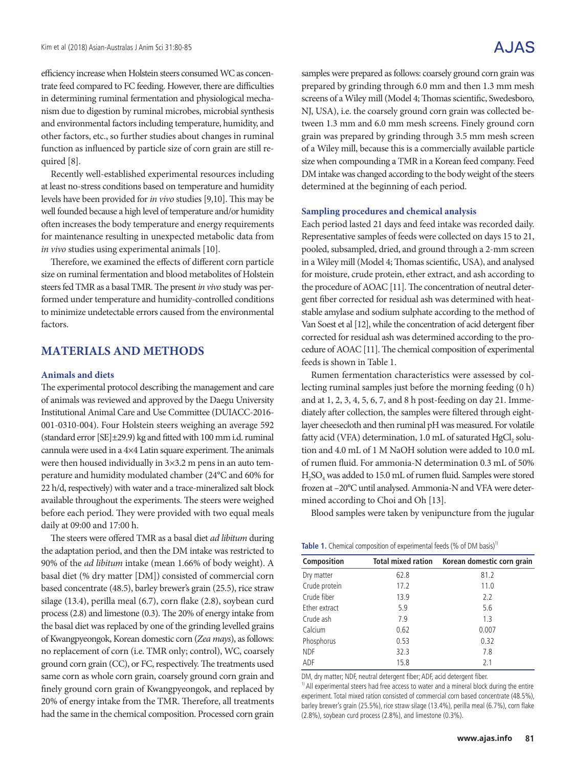efficiency increase when Holstein steers consumed WC as concentrate feed compared to FC feeding. However, there are difficulties in determining ruminal fermentation and physiological mechanism due to digestion by ruminal microbes, microbial synthesis and environmental factors including temperature, humidity, and other factors, etc., so further studies about changes in ruminal function as influenced by particle size of corn grain are still required [8].

Recently well-established experimental resources including at least no-stress conditions based on temperature and humidity levels have been provided for *in vivo* studies [9,10]. This may be well founded because a high level of temperature and/or humidity often increases the body temperature and energy requirements for maintenance resulting in unexpected metabolic data from *in vivo* studies using experimental animals [10].

Therefore, we examined the effects of different corn particle size on ruminal fermentation and blood metabolites of Holstein steers fed TMR as a basal TMR. The present *in vivo* study was performed under temperature and humidity-controlled conditions to minimize undetectable errors caused from the environmental factors.

### **MATERIALS AND METHODS**

### **Animals and diets**

The experimental protocol describing the management and care of animals was reviewed and approved by the Daegu University Institutional Animal Care and Use Committee (DUIACC-2016-001-0310-004). Four Holstein steers weighing an average 592 (standard error [SE]±29.9) kg and fitted with 100 mm i.d. ruminal cannula were used in a 4×4 Latin square experiment. The animals were then housed individually in 3×3.2 m pens in an auto temperature and humidity modulated chamber (24°C and 60% for 22 h/d, respectively) with water and a trace-mineralized salt block available throughout the experiments. The steers were weighed before each period. They were provided with two equal meals daily at 09:00 and 17:00 h.

The steers were offered TMR as a basal diet *ad libitum* during the adaptation period, and then the DM intake was restricted to 90% of the *ad libitum* intake (mean 1.66% of body weight). A basal diet (% dry matter [DM]) consisted of commercial corn based concentrate (48.5), barley brewer's grain (25.5), rice straw silage (13.4), perilla meal (6.7), corn flake (2.8), soybean curd process (2.8) and limestone (0.3). The 20% of energy intake from the basal diet was replaced by one of the grinding levelled grains of Kwangpyeongok, Korean domestic corn (*Zea mays*), as follows: no replacement of corn (i.e. TMR only; control), WC, coarsely ground corn grain (CC), or FC, respectively. The treatments used same corn as whole corn grain, coarsely ground corn grain and finely ground corn grain of Kwangpyeongok, and replaced by 20% of energy intake from the TMR. Therefore, all treatments had the same in the chemical composition. Processed corn grain

A.JAS

samples were prepared as follows: coarsely ground corn grain was prepared by grinding through 6.0 mm and then 1.3 mm mesh screens of a Wiley mill (Model 4; Thomas scientific, Swedesboro, NJ, USA), i.e. the coarsely ground corn grain was collected between 1.3 mm and 6.0 mm mesh screens. Finely ground corn grain was prepared by grinding through 3.5 mm mesh screen of a Wiley mill, because this is a commercially available particle size when compounding a TMR in a Korean feed company. Feed DM intake was changed according to the body weight of the steers determined at the beginning of each period.

#### **Sampling procedures and chemical analysis**

Each period lasted 21 days and feed intake was recorded daily. Representative samples of feeds were collected on days 15 to 21, pooled, subsampled, dried, and ground through a 2-mm screen in a Wiley mill (Model 4; Thomas scientific, USA), and analysed for moisture, crude protein, ether extract, and ash according to the procedure of AOAC [11]. The concentration of neutral detergent fiber corrected for residual ash was determined with heatstable amylase and sodium sulphate according to the method of Van Soest et al [12], while the concentration of acid detergent fiber corrected for residual ash was determined according to the procedure of AOAC [11]. The chemical composition of experimental feeds is shown in Table 1.

Rumen fermentation characteristics were assessed by collecting ruminal samples just before the morning feeding (0 h) and at 1, 2, 3, 4, 5, 6, 7, and 8 h post-feeding on day 21. Immediately after collection, the samples were filtered through eightlayer cheesecloth and then ruminal pH was measured. For volatile fatty acid (VFA) determination,  $1.0$  mL of saturated HgCl<sub>2</sub> solution and 4.0 mL of 1 M NaOH solution were added to 10.0 mL of rumen fluid. For ammonia-N determination 0.3 mL of 50% H2SO4 was added to 15.0 mL of rumen fluid. Samples were stored frozen at –20°C until analysed. Ammonia-N and VFA were determined according to Choi and Oh [13].

Blood samples were taken by venipuncture from the jugular

| Table 1. Chemical composition of experimental feeds (% of DM basis) <sup>1</sup> |  |
|----------------------------------------------------------------------------------|--|
|----------------------------------------------------------------------------------|--|

| Composition   | <b>Total mixed ration</b> | Korean domestic corn grain |  |  |  |
|---------------|---------------------------|----------------------------|--|--|--|
| Dry matter    | 62.8                      | 81.2                       |  |  |  |
| Crude protein | 17.2                      | 11.0                       |  |  |  |
| Crude fiber   | 13.9                      | 2.2                        |  |  |  |
| Ether extract | 5.9                       | 5.6                        |  |  |  |
| Crude ash     | 7.9                       | 1.3                        |  |  |  |
| Calcium       | 0.62                      | 0.007                      |  |  |  |
| Phosphorus    | 0.53                      | 0.32                       |  |  |  |
| <b>NDF</b>    | 32.3                      | 7.8                        |  |  |  |
| ADF           | 15.8                      | 2.1                        |  |  |  |

DM, dry matter; NDF, neutral detergent fiber; ADF, acid detergent fiber.

<sup>1)</sup> All experimental steers had free access to water and a mineral block during the entire experiment. Total mixed ration consisted of commercial corn based concentrate (48.5%), barley brewer's grain (25.5%), rice straw silage (13.4%), perilla meal (6.7%), corn flake (2.8%), soybean curd process (2.8%), and limestone (0.3%).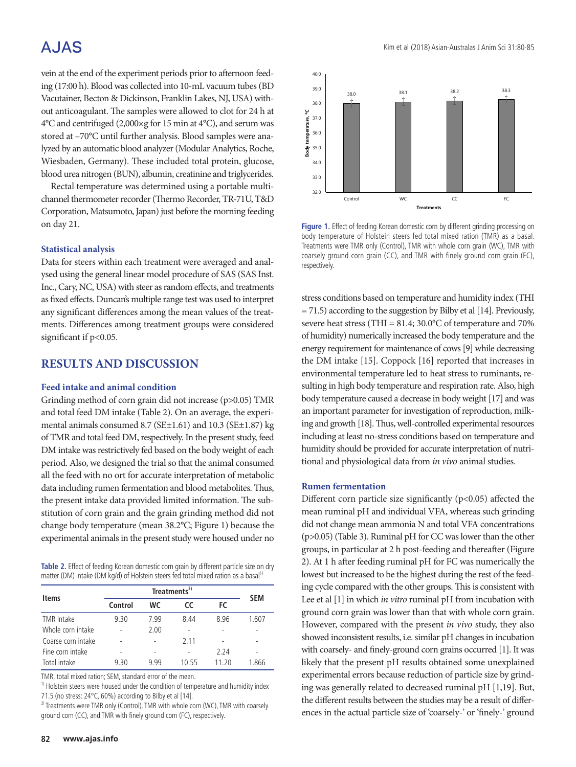## A.JAS

vein at the end of the experiment periods prior to afternoon feeding (17:00 h). Blood was collected into 10-mL vacuum tubes (BD Vacutainer, Becton & Dickinson, Franklin Lakes, NJ, USA) without anticoagulant. The samples were allowed to clot for 24 h at 4°C and centrifuged (2,000×g for 15 min at 4°C), and serum was stored at –70°C until further analysis. Blood samples were analyzed by an automatic blood analyzer (Modular Analytics, Roche, Wiesbaden, Germany). These included total protein, glucose, blood urea nitrogen (BUN), albumin, creatinine and triglycerides.

Rectal temperature was determined using a portable multichannel thermometer recorder (Thermo Recorder, TR-71U, T&D Corporation, Matsumoto, Japan) just before the morning feeding on day 21.

#### **Statistical analysis**

Data for steers within each treatment were averaged and analysed using the general linear model procedure of SAS (SAS Inst. Inc., Cary, NC, USA) with steer as random effects, and treatments as fixed effects. Duncan's multiple range test was used to interpret any significant differences among the mean values of the treatments. Differences among treatment groups were considered significant if  $p<0.05$ .

## **RESULTS AND DISCUSSION**

#### **Feed intake and animal condition**

Grinding method of corn grain did not increase (p>0.05) TMR and total feed DM intake (Table 2). On an average, the experimental animals consumed 8.7 (SE±1.61) and 10.3 (SE±1.87) kg of TMR and total feed DM, respectively. In the present study, feed DM intake was restrictively fed based on the body weight of each period. Also, we designed the trial so that the animal consumed all the feed with no ort for accurate interpretation of metabolic data including rumen fermentation and blood metabolites. Thus, the present intake data provided limited information. The substitution of corn grain and the grain grinding method did not change body temperature (mean 38.2°C; Figure 1) because the experimental animals in the present study were housed under no

**Table 2.** Effect of feeding Korean domestic corn grain by different particle size on dry matter (DM) intake (DM kg/d) of Holstein steers fed total mixed ration as a basal<sup>11</sup>

| <b>Items</b>       |         | <b>SEM</b> |       |       |       |
|--------------------|---------|------------|-------|-------|-------|
|                    | Control | WС         | cc    | FC    |       |
| TMR intake         | 9.30    | 7.99       | 8.44  | 8.96  | 1.607 |
| Whole corn intake  |         | 2.00       |       | -     |       |
| Coarse corn intake |         |            | 2.11  | ٠     |       |
| Fine corn intake   |         | ۰          |       | 2.24  |       |
| Total intake       | 9.30    | 9 9 9      | 10 55 | 11 70 | 1 ጸ66 |

TMR, total mixed ration; SEM, standard error of the mean.

<sup>1)</sup> Holstein steers were housed under the condition of temperature and humidity index 71.5 (no stress: 24°C, 60%) according to Bilby et al [14].

<sup>2)</sup> Treatments were TMR only (Control), TMR with whole corn (WC), TMR with coarsely ground corn (CC), and TMR with finely ground corn (FC), respectively.



Figure 1. Effect of feeding Korean domestic corn by different grinding processing on body temperature of Holstein steers fed total mixed ration (TMR) as a basal. Treatments were TMR only (Control), TMR with whole corn grain (WC), TMR with coarsely ground corn grain (CC), and TMR with finely ground corn grain (FC), respectively. 374 of Holstein steering federal assistant compare ration of the TMR only (TMR) and TMR only (Control), TMR only (Control), TMR only (Control), TMR only (Control), TMR only (Control), TMR only (Control), TMR only (Control)

stress conditions based on temperature and humidity index (THI = 71.5) according to the suggestion by Bilby et al [14]. Previously, severe heat stress (THI = 81.4; 30.0°C of temperature and 70% of humidity) numerically increased the body temperature and the energy requirement for maintenance of cows [9] while decreasing the DM intake [15]. Coppock [16] reported that increases in environmental temperature led to heat stress to ruminants, resulting in high body temperature and respiration rate. Also, high body temperature caused a decrease in body weight [17] and was an important parameter for investigation of reproduction, milking and growth [18]. Thus, well-controlled experimental resources including at least no-stress conditions based on temperature and humidity should be provided for accurate interpretation of nutritional and physiological data from *in vivo* animal studies.

### **Rumen fermentation**

Different corn particle size significantly (p<0.05) affected the mean ruminal pH and individual VFA, whereas such grinding did not change mean ammonia N and total VFA concentrations (p>0.05) (Table 3). Ruminal pH for CC was lower than the other groups, in particular at 2 h post-feeding and thereafter (Figure 2). At 1 h after feeding ruminal pH for FC was numerically the lowest but increased to be the highest during the rest of the feeding cycle compared with the other groups. This is consistent with Lee et al [1] in which *in vitro* ruminal pH from incubation with ground corn grain was lower than that with whole corn grain. However, compared with the present *in vivo* study, they also showed inconsistent results, i.e. similar pH changes in incubation with coarsely- and finely-ground corn grains occurred [1]. It was likely that the present pH results obtained some unexplained experimental errors because reduction of particle size by grinding was generally related to decreased ruminal pH [1,19]. But, the different results between the studies may be a result of differences in the actual particle size of 'coarsely-' or 'finely-' ground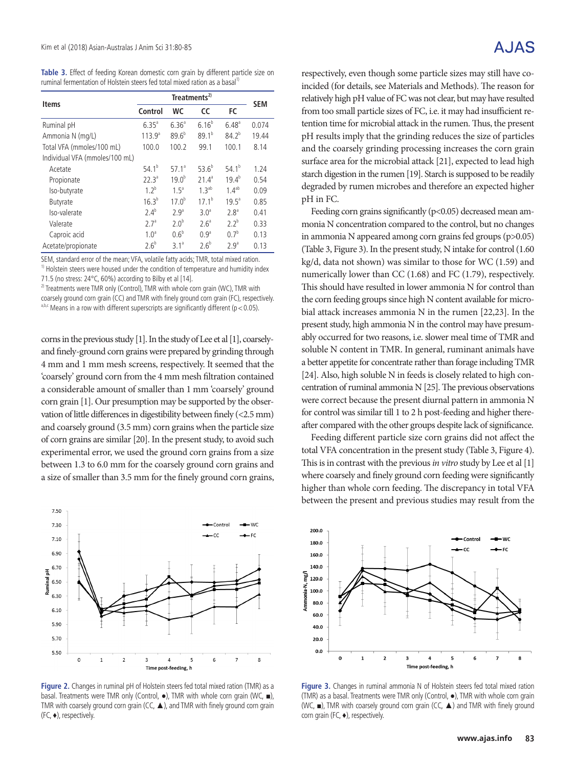**Table 3.** Effect of feeding Korean domestic corn grain by different particle size on ruminal fermentation of Holstein steers fed total mixed ration as a basal<sup>11</sup>

| <b>Items</b>                   | Treatments <sup>2)</sup> |                   |                   |                  | <b>SEM</b> |  |
|--------------------------------|--------------------------|-------------------|-------------------|------------------|------------|--|
|                                | Control                  | WC                | <b>CC</b>         | FC               |            |  |
| Ruminal pH                     | $6.35^{a}$               | $6.36^{a}$        | $6.16^{b}$        | $6.48^{a}$       | 0.074      |  |
| Ammonia N (mg/L)               | $113.9^{a}$              | $89.6^{b}$        | $89.1^{b}$        | $84.2^{b}$       | 19.44      |  |
| Total VFA (mmoles/100 mL)      | 100.0                    | 100.2             | 99.1              | 100.1            | 8.14       |  |
| Individual VFA (mmoles/100 mL) |                          |                   |                   |                  |            |  |
| Acetate                        | 54.1 <sup>b</sup>        | 57.1 <sup>a</sup> | $53.6^{b}$        | $54.1^{b}$       | 1.24       |  |
| Propionate                     | 22.3 <sup>a</sup>        | $19.0^{b}$        | 21.4 <sup>a</sup> | $19.4^{b}$       | 0.54       |  |
| Iso-butyrate                   | $12^b$                   | 1.5 <sup>a</sup>  | 1.3 <sup>ab</sup> | $1.4^{ab}$       | 0.09       |  |
| Butyrate                       | $16.3^{b}$               | $17.0^{b}$        | 17.1 <sup>b</sup> | $19.5^a$         | 0.85       |  |
| Iso-valerate                   | $2.4^{b}$                | 2.9 <sup>a</sup>  | 3.0 <sup>a</sup>  | 2.8 <sup>a</sup> | 0.41       |  |
| Valerate                       | 2.7 <sup>a</sup>         | 2.0 <sup>b</sup>  | 2.6 <sup>a</sup>  | $2.2^{b}$        | 0.33       |  |
| Caproic acid                   | 1.0 <sup>a</sup>         | $0.6^{b}$         | 0.9 <sup>a</sup>  | 0 <sup>b</sup>   | 0.13       |  |
| Acetate/propionate             | 2.6 <sup>b</sup>         | $3.1^a$           | 2.6 <sup>b</sup>  | 2.9 <sup>a</sup> | 0.13       |  |

SEM, standard error of the mean; VFA, volatile fatty acids; TMR, total mixed ration.

<sup>1)</sup> Holstein steers were housed under the condition of temperature and humidity index 71.5 (no stress:  $24^{\circ}$ C, 60%) according to Bilby et al [14].

<sup>2)</sup> Treatments were TMR only (Control), TMR with whole corn grain (WC), TMR with

coarsely ground corn grain (CC) and TMR with finely ground corn grain (FC), respectively.

 $a,b,c$  Means in a row with different superscripts are significantly different (p < 0.05).

corns in the previous study [1]. In the study of Lee et al [1], coarselyand finely-ground corn grains were prepared by grinding through 4 mm and 1 mm mesh screens, respectively. It seemed that the 'coarsely' ground corn from the 4 mm mesh filtration contained a considerable amount of smaller than 1 mm 'coarsely' ground corn grain [1]. Our presumption may be supported by the observation of little differences in digestibility between finely (<2.5 mm) and coarsely ground (3.5 mm) corn grains when the particle size of corn grains are similar [20]. In the present study, to avoid such experimental error, we used the ground corn grains from a size between 1.3 to 6.0 mm for the coarsely ground corn grains and a size of smaller than 3.5 mm for the finely ground corn grains,



Figure 2. Changes in ruminal pH of Holstein steers fed total mixed ration (TMR) as a 1. Figure 21 changes in rannum privatives received the columnication (mm), as a<br>basal. Treatments were TMR only (Control, ●), TMR with whole corn grain (WC, ■), TMR with coarsely ground corn grain (CC, ▲), and TMR with finely ground corn grain (FC, ♦), respectively.  $\frac{3}{2}$  (CO  $\frac{3}{2}$  and TCC, and TMR with fine correction  $\frac{3}{2}$  and  $\frac{3}{2}$  and  $\frac{3}{2}$  and  $\frac{3}{2}$ 

respectively, even though some particle sizes may still have coincided (for details, see Materials and Methods). The reason for relatively high pH value of FC was not clear, but may have resulted from too small particle sizes of FC, i.e. it may had insufficient retention time for microbial attack in the rumen. Thus, the present pH results imply that the grinding reduces the size of particles and the coarsely grinding processing increases the corn grain surface area for the microbial attack [21], expected to lead high starch digestion in the rumen [19]. Starch is supposed to be readily degraded by rumen microbes and therefore an expected higher pH in FC.

Feeding corn grains significantly (p<0.05) decreased mean ammonia N concentration compared to the control, but no changes in ammonia N appeared among corn grains fed groups (p>0.05) (Table 3, Figure 3). In the present study, N intake for control (1.60 kg/d, data not shown) was similar to those for WC (1.59) and numerically lower than CC (1.68) and FC (1.79), respectively. This should have resulted in lower ammonia N for control than the corn feeding groups since high N content available for microbial attack increases ammonia N in the rumen [22,23]. In the present study, high ammonia N in the control may have presumably occurred for two reasons, i.e. slower meal time of TMR and soluble N content in TMR. In general, ruminant animals have a better appetite for concentrate rather than forage including TMR [24]. Also, high soluble N in feeds is closely related to high concentration of ruminal ammonia N [25]. The previous observations were correct because the present diurnal pattern in ammonia N for control was similar till 1 to 2 h post-feeding and higher thereafter compared with the other groups despite lack of significance.

Feeding different particle size corn grains did not affect the total VFA concentration in the present study (Table 3, Figure 4). This is in contrast with the previous *in vitro* study by Lee et al [1] where coarsely and finely ground corn feeding were significantly higher than whole corn feeding. The discrepancy in total VFA between the present and previous studies may result from the



**Figure 3.** Changes in ruminal ammonia N of Holstein steers fed total mixed ration (TMR) as a basal. Treatments were TMR only (Control, ●), TMR with whole corn grain  $(WC, \blacksquare)$ , TMR with coarsely ground corn grain (CC,  $\blacktriangle$ ) and TMR with finely ground corn grain (FC,  $\triangleleft$ ), respectively.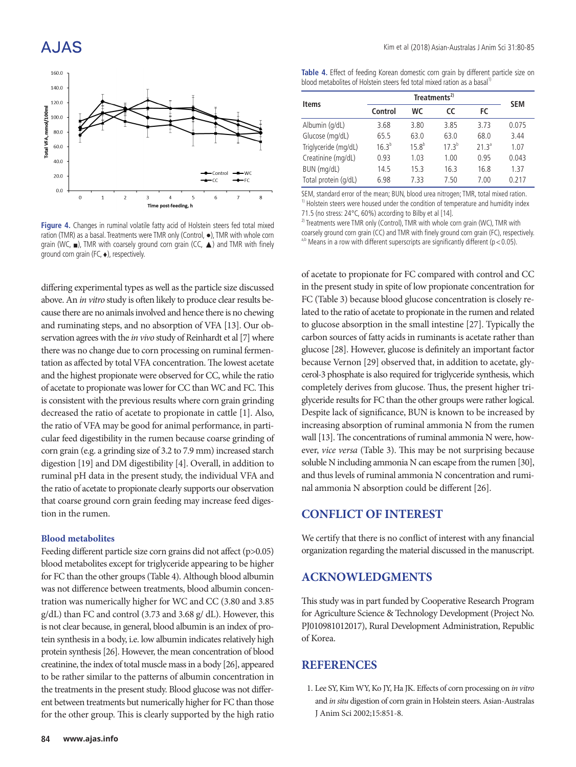## A.JAS



**Figure 4.** Changes in ruminal volatile fatty acid of Holstein steers fed total mixed ration (TMR) as a basal. Treatments were TMR only (Control,  $\bullet$ ), TMR with whole corn grain (WC,  $\blacksquare$ ), TMR with coarsely ground corn grain (CC,  $\blacktriangle$ ) and TMR with finely ground corn grain (FC, ♦), respectively.

differing experimental types as well as the particle size discussed above. An *in vitro* study is often likely to produce clear results because there are no animals involved and hence there is no chewing and ruminating steps, and no absorption of VFA [13]. Our observation agrees with the *in vivo* study of Reinhardt et al [7] where there was no change due to corn processing on ruminal fermentation as affected by total VFA concentration. The lowest acetate and the highest propionate were observed for CC, while the ratio of acetate to propionate was lower for CC than WC and FC. This is consistent with the previous results where corn grain grinding decreased the ratio of acetate to propionate in cattle [1]. Also, the ratio of VFA may be good for animal performance, in particular feed digestibility in the rumen because coarse grinding of corn grain (e.g. a grinding size of 3.2 to 7.9 mm) increased starch digestion [19] and DM digestibility [4]. Overall, in addition to ruminal pH data in the present study, the individual VFA and the ratio of acetate to propionate clearly supports our observation that coarse ground corn grain feeding may increase feed digestion in the rumen.

#### **Blood metabolites**

Feeding different particle size corn grains did not affect (p>0.05) blood metabolites except for triglyceride appearing to be higher for FC than the other groups (Table 4). Although blood albumin was not difference between treatments, blood albumin concentration was numerically higher for WC and CC (3.80 and 3.85 g/dL) than FC and control (3.73 and 3.68 g/ dL). However, this is not clear because, in general, blood albumin is an index of protein synthesis in a body, i.e. low albumin indicates relatively high protein synthesis [26]. However, the mean concentration of blood creatinine, the index of total muscle mass in a body [26], appeared to be rather similar to the patterns of albumin concentration in the treatments in the present study. Blood glucose was not different between treatments but numerically higher for FC than those for the other group. This is clearly supported by the high ratio

**Table 4.** Effect of feeding Korean domestic corn grain by different particle size on blood metabolites of Holstein steers fed total mixed ration as a basal<sup>1</sup>

| Items                |            | <b>SEM</b> |            |                   |       |  |
|----------------------|------------|------------|------------|-------------------|-------|--|
|                      | Control    | WС         | <b>CC</b>  | FC                |       |  |
| Albumin (g/dL)       | 3.68       | 3.80       | 3.85       | 3.73              | 0.075 |  |
| Glucose (mg/dL)      | 65.5       | 63.0       | 63.0       | 68.0              | 3.44  |  |
| Triglyceride (mg/dL) | $16.3^{b}$ | $15.8^{b}$ | $17.3^{b}$ | 21.3 <sup>a</sup> | 1.07  |  |
| Creatinine (mg/dL)   | 0.93       | 1.03       | 1.00       | 0.95              | 0.043 |  |
| BUN (mg/dL)          | 14.5       | 15.3       | 16.3       | 16.8              | 1.37  |  |
| Total protein (g/dL) | 6.98       | 7.33       | 7.50       | 7.00              | 0.217 |  |

SEM, standard error of the mean; BUN, blood urea nitrogen; TMR, total mixed ration. <sup>1)</sup> Holstein steers were housed under the condition of temperature and humidity index 71.5 (no stress: 24°C, 60%) according to Bilby et al [14].

<sup>2)</sup> Treatments were TMR only (Control), TMR with whole corn grain (WC), TMR with coarsely ground corn grain (CC) and TMR with finely ground corn grain (FC), respectively. a,b Means in a row with different superscripts are significantly different ( $p < 0.05$ ).

of acetate to propionate for FC compared with control and CC in the present study in spite of low propionate concentration for FC (Table 3) because blood glucose concentration is closely related to the ratio of acetate to propionate in the rumen and related to glucose absorption in the small intestine [27]. Typically the carbon sources of fatty acids in ruminants is acetate rather than glucose [28]. However, glucose is definitely an important factor because Vernon [29] observed that, in addition to acetate, glycerol-3 phosphate is also required for triglyceride synthesis, which completely derives from glucose. Thus, the present higher triglyceride results for FC than the other groups were rather logical. Despite lack of significance, BUN is known to be increased by increasing absorption of ruminal ammonia N from the rumen wall [13]. The concentrations of ruminal ammonia N were, however, *vice versa* (Table 3). This may be not surprising because soluble N including ammonia N can escape from the rumen [30], and thus levels of ruminal ammonia N concentration and ruminal ammonia N absorption could be different [26].

## **CONFLICT OF INTEREST**

We certify that there is no conflict of interest with any financial organization regarding the material discussed in the manuscript.

## **ACKNOWLEDGMENTS**

This study was in part funded by Cooperative Research Program for Agriculture Science & Technology Development (Project No. PJ010981012017), Rural Development Administration, Republic of Korea.

## **REFERENCES**

1. Lee SY, Kim WY, Ko JY, Ha JK. Effects of corn processing on *in vitro* and *in situ* digestion of corn grain in Holstein steers. Asian-Australas J Anim Sci 2002;15:851-8.